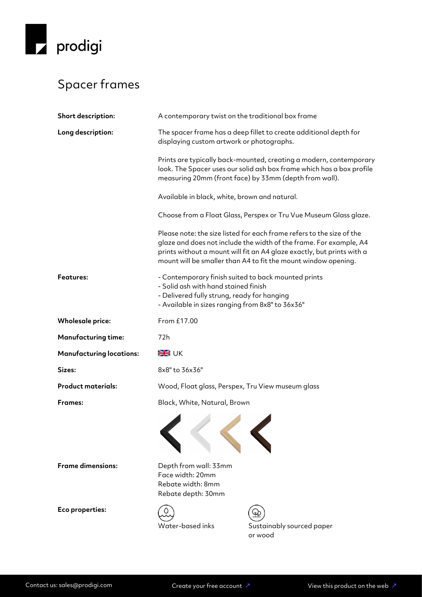

## Spacer frames

| Short description:              | A contemporary twist on the traditional box frame                                                                                                                                                                                                                                       |                                                                                                                                                                                                       |
|---------------------------------|-----------------------------------------------------------------------------------------------------------------------------------------------------------------------------------------------------------------------------------------------------------------------------------------|-------------------------------------------------------------------------------------------------------------------------------------------------------------------------------------------------------|
| Long description:               | The spacer frame has a deep fillet to create additional depth for<br>displaying custom artwork or photographs.                                                                                                                                                                          |                                                                                                                                                                                                       |
|                                 |                                                                                                                                                                                                                                                                                         | Prints are typically back-mounted, creating a modern, contemporary<br>look. The Spacer uses our solid ash box frame which has a box profile<br>measuring 20mm (front face) by 33mm (depth from wall). |
|                                 | Available in black, white, brown and natural.                                                                                                                                                                                                                                           |                                                                                                                                                                                                       |
|                                 | Choose from a Float Glass, Perspex or Tru Vue Museum Glass glaze.                                                                                                                                                                                                                       |                                                                                                                                                                                                       |
|                                 | Please note: the size listed for each frame refers to the size of the<br>glaze and does not include the width of the frame. For example, A4<br>prints without a mount will fit an A4 glaze exactly, but prints with a<br>mount will be smaller than A4 to fit the mount window opening. |                                                                                                                                                                                                       |
| <b>Features:</b>                | - Contemporary finish suited to back mounted prints<br>- Solid ash with hand stained finish<br>- Delivered fully strung, ready for hanging<br>- Available in sizes ranging from 8x8" to 36x36"                                                                                          |                                                                                                                                                                                                       |
| <b>Wholesale price:</b>         | From £17.00                                                                                                                                                                                                                                                                             |                                                                                                                                                                                                       |
| <b>Manufacturing time:</b>      | 72h                                                                                                                                                                                                                                                                                     |                                                                                                                                                                                                       |
| <b>Manufacturing locations:</b> | <b>SK</b> UK                                                                                                                                                                                                                                                                            |                                                                                                                                                                                                       |
| Sizes:                          | 8x8" to 36x36"                                                                                                                                                                                                                                                                          |                                                                                                                                                                                                       |
| <b>Product materials:</b>       | Wood, Float glass, Perspex, Tru View museum glass                                                                                                                                                                                                                                       |                                                                                                                                                                                                       |
| <b>Frames:</b>                  | Black, White, Natural, Brown                                                                                                                                                                                                                                                            |                                                                                                                                                                                                       |
|                                 |                                                                                                                                                                                                                                                                                         |                                                                                                                                                                                                       |
| <b>Frame dimensions:</b>        | Depth from wall: 33mm<br>Face width: 20mm<br>Rebate width: 8mm<br>Rebate depth: 30mm                                                                                                                                                                                                    |                                                                                                                                                                                                       |
| Eco properties:                 | Water-based inks                                                                                                                                                                                                                                                                        | Sustainably sourced paper<br>or wood                                                                                                                                                                  |